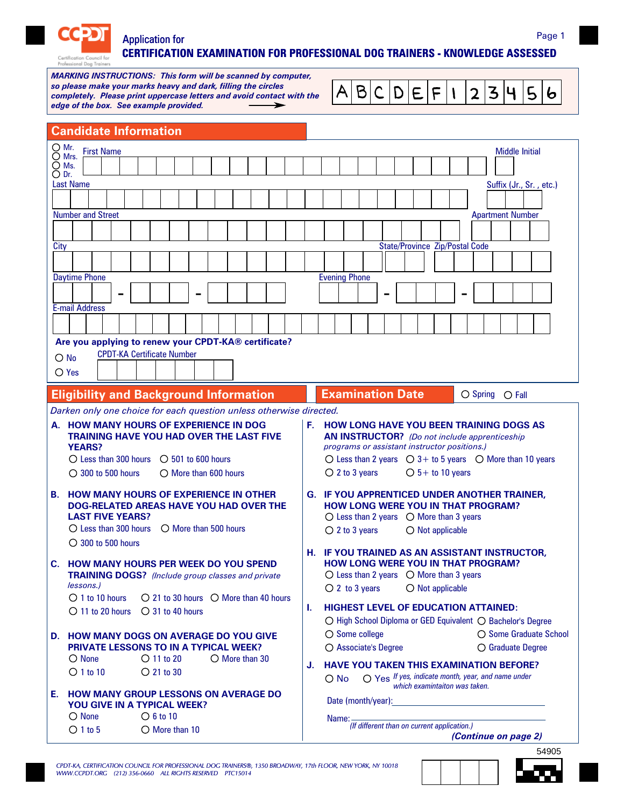

## Application for **CERTIFICATION EXAMINATION FOR PROFESSIONAL DOG TRAINERS - KNOWLEDGE ASSESSED** Page 1

*MARKING INSTRUCTIONS: This form will be scanned by computer, so please make your marks heavy and dark, filling the circles completely. Please print uppercase letters and avoid contact with the edge of the box. See example provided.*

| $\overline{A B C D E F 1 2 3 4 5 6}$ |
|--------------------------------------|
|--------------------------------------|

| <b>Candidate Information</b>                                                                                                                                                                                                                                                                                     |                                                                                                                                                                                                                                                                                                                                                 |  |  |  |  |
|------------------------------------------------------------------------------------------------------------------------------------------------------------------------------------------------------------------------------------------------------------------------------------------------------------------|-------------------------------------------------------------------------------------------------------------------------------------------------------------------------------------------------------------------------------------------------------------------------------------------------------------------------------------------------|--|--|--|--|
| O Mr.<br><b>First Name</b><br>$\bigcirc$ Mrs.<br>$\bigcirc$ Ms.<br>$\bigcirc$ Dr.<br><b>Last Name</b>                                                                                                                                                                                                            | <b>Middle Initial</b><br>Suffix (Jr., Sr., etc.)                                                                                                                                                                                                                                                                                                |  |  |  |  |
| <b>Number and Street</b><br>City                                                                                                                                                                                                                                                                                 | <b>Apartment Number</b><br><b>State/Province Zip/Postal Code</b>                                                                                                                                                                                                                                                                                |  |  |  |  |
| <b>Daytime Phone</b><br><b>E-mail Address</b><br>Are you applying to renew your CPDT-KA® certificate?<br><b>CPDT-KA Certificate Number</b><br>$\bigcirc$ No<br>$\bigcirc$ Yes                                                                                                                                    | <b>Evening Phone</b>                                                                                                                                                                                                                                                                                                                            |  |  |  |  |
| <b>Eligibility and Background Information</b>                                                                                                                                                                                                                                                                    | <b>Examination Date</b><br>$O$ Spring $O$ Fall                                                                                                                                                                                                                                                                                                  |  |  |  |  |
| Darken only one choice for each question unless otherwise directed.<br>A. HOW MANY HOURS OF EXPERIENCE IN DOG<br><b>TRAINING HAVE YOU HAD OVER THE LAST FIVE</b><br><b>YEARS?</b><br>$\bigcirc$ Less than 300 hours $\bigcirc$ 501 to 600 hours<br>$\bigcirc$ 300 to 500 hours<br>$\bigcirc$ More than 600 hours | <b>F. HOW LONG HAVE YOU BEEN TRAINING DOGS AS</b><br><b>AN INSTRUCTOR?</b> (Do not include apprenticeship<br>programs or assistant instructor positions.)<br>$\bigcirc$ Less than 2 years $\bigcirc$ 3+ to 5 years $\bigcirc$ More than 10 years<br>$O 5+$ to 10 years<br>$O$ 2 to 3 years                                                      |  |  |  |  |
| <b>HOW MANY HOURS OF EXPERIENCE IN OTHER</b><br>В.<br>DOG-RELATED AREAS HAVE YOU HAD OVER THE<br><b>LAST FIVE YEARS?</b><br>$\bigcap$ Less than 300 hours $\bigcap$ More than 500 hours<br>$\bigcirc$ 300 to 500 hours                                                                                           | <b>G. IF YOU APPRENTICED UNDER ANOTHER TRAINER,</b><br><b>HOW LONG WERE YOU IN THAT PROGRAM?</b><br>$\bigcirc$ Less than 2 years $\bigcirc$ More than 3 years<br>$O$ 2 to 3 years<br>$\bigcirc$ Not applicable                                                                                                                                  |  |  |  |  |
| <b>HOW MANY HOURS PER WEEK DO YOU SPEND</b><br>C.<br><b>TRAINING DOGS?</b> (Include group classes and private<br>lessons.)<br>$\bigcirc$ 1 to 10 hours<br>$\bigcirc$ 21 to 30 hours $\bigcirc$ More than 40 hours<br>$O$ 11 to 20 hours<br>$\bigcirc$ 31 to 40 hours                                             | H. IF YOU TRAINED AS AN ASSISTANT INSTRUCTOR,<br><b>HOW LONG WERE YOU IN THAT PROGRAM?</b><br>$\bigcirc$ Less than 2 years $\bigcirc$ More than 3 years<br>$O$ 2 to 3 years<br>$O$ Not applicable<br><b>HIGHEST LEVEL OF EDUCATION ATTAINED:</b><br>L.                                                                                          |  |  |  |  |
| <b>D. HOW MANY DOGS ON AVERAGE DO YOU GIVE</b><br><b>PRIVATE LESSONS TO IN A TYPICAL WEEK?</b><br>$\bigcirc$ 11 to 20<br>$\bigcirc$ None<br>$\bigcirc$ More than 30<br>$O$ 1 to 10<br>$\bigcirc$ 21 to 30                                                                                                        | ○ High School Diploma or GED Equivalent ○ Bachelor's Degree<br>$\bigcirc$ Some college<br>○ Some Graduate School<br>O Associate's Degree<br>O Graduate Degree<br><b>HAVE YOU TAKEN THIS EXAMINATION BEFORE?</b><br>J.<br>O Yes If yes, indicate month, year, and name under<br>$\bigcirc$ No                                                    |  |  |  |  |
| <b>HOW MANY GROUP LESSONS ON AVERAGE DO</b><br>Е.<br><b>YOU GIVE IN A TYPICAL WEEK?</b><br>$\bigcirc$ None<br>$\bigcirc$ 6 to 10<br>$O 1$ to 5<br>$\bigcirc$ More than 10                                                                                                                                        | which examintaiton was taken.<br>Date (month/year): Notice that the contract of the contract of the contract of the contract of the contract of the contract of the contract of the contract of the contract of the contract of the contract of the contract of<br>Name:<br>(If different than on current application.)<br>(Continue on page 2) |  |  |  |  |